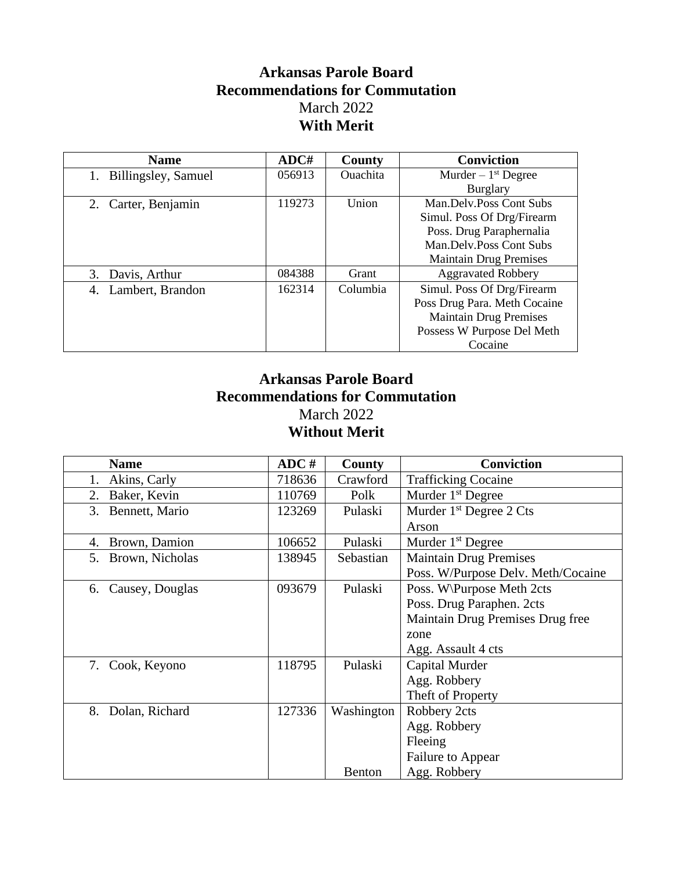## **Arkansas Parole Board Recommendations for Commutation** March 2022 **With Merit**

| <b>Name</b>         | ADC#   | County   | <b>Conviction</b>             |
|---------------------|--------|----------|-------------------------------|
| Billingsley, Samuel | 056913 | Ouachita | Murder $-1st$ Degree          |
|                     |        |          | <b>Burglary</b>               |
| 2. Carter, Benjamin | 119273 | Union    | Man.Dely.Poss Cont Subs       |
|                     |        |          | Simul. Poss Of Drg/Firearm    |
|                     |        |          | Poss. Drug Paraphernalia      |
|                     |        |          | Man.Dely.Poss Cont Subs       |
|                     |        |          | <b>Maintain Drug Premises</b> |
| Davis, Arthur<br>3. | 084388 | Grant    | <b>Aggravated Robbery</b>     |
| 4. Lambert, Brandon | 162314 | Columbia | Simul. Poss Of Drg/Firearm    |
|                     |        |          | Poss Drug Para. Meth Cocaine  |
|                     |        |          | <b>Maintain Drug Premises</b> |
|                     |        |          | Possess W Purpose Del Meth    |
|                     |        |          | Cocaine                       |

## **Arkansas Parole Board Recommendations for Commutation** March 2022 **Without Merit**

| <b>Name</b>           | ADC #  | <b>County</b> | <b>Conviction</b>                  |
|-----------------------|--------|---------------|------------------------------------|
| Akins, Carly          | 718636 | Crawford      | <b>Trafficking Cocaine</b>         |
| Baker, Kevin<br>2.    | 110769 | Polk          | Murder $1st$ Degree                |
| 3. Bennett, Mario     | 123269 | Pulaski       | Murder $1st$ Degree 2 Cts          |
|                       |        |               | Arson                              |
| Brown, Damion<br>4.   | 106652 | Pulaski       | Murder 1 <sup>st</sup> Degree      |
| 5. Brown, Nicholas    | 138945 | Sebastian     | <b>Maintain Drug Premises</b>      |
|                       |        |               | Poss. W/Purpose Delv. Meth/Cocaine |
| Causey, Douglas<br>6. | 093679 | Pulaski       | Poss. W\Purpose Meth 2cts          |
|                       |        |               | Poss. Drug Paraphen. 2cts          |
|                       |        |               | Maintain Drug Premises Drug free   |
|                       |        |               | zone                               |
|                       |        |               | Agg. Assault 4 cts                 |
| 7.<br>Cook, Keyono    | 118795 | Pulaski       | Capital Murder                     |
|                       |        |               | Agg. Robbery                       |
|                       |        |               | Theft of Property                  |
| Dolan, Richard<br>8.  | 127336 | Washington    | Robbery 2cts                       |
|                       |        |               | Agg. Robbery                       |
|                       |        |               | Fleeing                            |
|                       |        |               | Failure to Appear                  |
|                       |        | <b>Benton</b> | Agg. Robbery                       |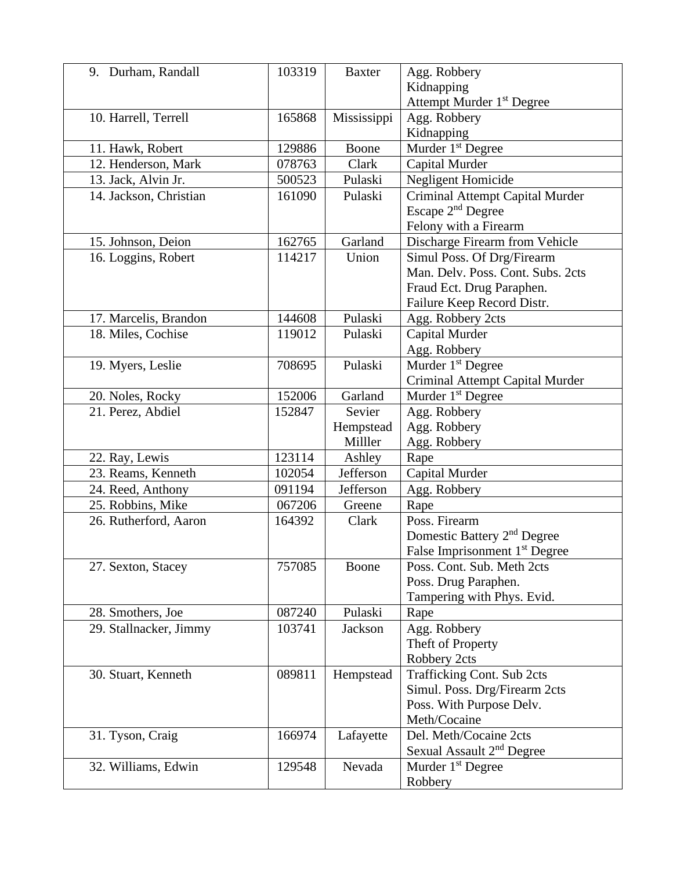| 9. Durham, Randall     | 103319 | <b>Baxter</b> | Agg. Robbery                              |
|------------------------|--------|---------------|-------------------------------------------|
|                        |        |               | Kidnapping                                |
|                        |        |               | Attempt Murder 1 <sup>st</sup> Degree     |
| 10. Harrell, Terrell   | 165868 | Mississippi   | Agg. Robbery                              |
|                        |        |               | Kidnapping                                |
| 11. Hawk, Robert       | 129886 | Boone         | Murder 1 <sup>st</sup> Degree             |
| 12. Henderson, Mark    | 078763 | Clark         | Capital Murder                            |
| 13. Jack, Alvin Jr.    | 500523 | Pulaski       | <b>Negligent Homicide</b>                 |
| 14. Jackson, Christian | 161090 | Pulaski       | Criminal Attempt Capital Murder           |
|                        |        |               | Escape 2 <sup>nd</sup> Degree             |
|                        |        |               | Felony with a Firearm                     |
| 15. Johnson, Deion     | 162765 | Garland       | Discharge Firearm from Vehicle            |
| 16. Loggins, Robert    | 114217 | Union         | Simul Poss. Of Drg/Firearm                |
|                        |        |               | Man. Delv. Poss. Cont. Subs. 2cts         |
|                        |        |               | Fraud Ect. Drug Paraphen.                 |
|                        |        |               | Failure Keep Record Distr.                |
| 17. Marcelis, Brandon  | 144608 | Pulaski       | Agg. Robbery 2cts                         |
| 18. Miles, Cochise     | 119012 | Pulaski       | Capital Murder                            |
|                        |        |               | Agg. Robbery                              |
| 19. Myers, Leslie      | 708695 | Pulaski       | Murder 1 <sup>st</sup> Degree             |
|                        |        |               | Criminal Attempt Capital Murder           |
| 20. Noles, Rocky       | 152006 | Garland       | Murder 1 <sup>st</sup> Degree             |
| 21. Perez, Abdiel      | 152847 | Sevier        | Agg. Robbery                              |
|                        |        | Hempstead     | Agg. Robbery                              |
|                        |        | Milller       | Agg. Robbery                              |
| 22. Ray, Lewis         | 123114 | Ashley        | Rape                                      |
| 23. Reams, Kenneth     | 102054 | Jefferson     | Capital Murder                            |
| 24. Reed, Anthony      | 091194 | Jefferson     | Agg. Robbery                              |
| 25. Robbins, Mike      | 067206 | Greene        | Rape                                      |
| 26. Rutherford, Aaron  | 164392 | Clark         | Poss. Firearm                             |
|                        |        |               | Domestic Battery 2 <sup>nd</sup> Degree   |
|                        |        |               | False Imprisonment 1 <sup>st</sup> Degree |
| 27. Sexton, Stacey     | 757085 | Boone         | Poss. Cont. Sub. Meth 2cts                |
|                        |        |               | Poss. Drug Paraphen.                      |
|                        |        |               | Tampering with Phys. Evid.                |
| 28. Smothers, Joe      | 087240 | Pulaski       | Rape                                      |
| 29. Stallnacker, Jimmy | 103741 | Jackson       | Agg. Robbery                              |
|                        |        |               | Theft of Property                         |
|                        |        |               | Robbery 2cts                              |
| 30. Stuart, Kenneth    | 089811 | Hempstead     | <b>Trafficking Cont. Sub 2cts</b>         |
|                        |        |               | Simul. Poss. Drg/Firearm 2cts             |
|                        |        |               | Poss. With Purpose Delv.                  |
|                        |        |               | Meth/Cocaine                              |
| 31. Tyson, Craig       | 166974 | Lafayette     | Del. Meth/Cocaine 2cts                    |
|                        |        |               | Sexual Assault 2 <sup>nd</sup> Degree     |
| 32. Williams, Edwin    | 129548 | Nevada        | Murder 1 <sup>st</sup> Degree             |
|                        |        |               | Robbery                                   |